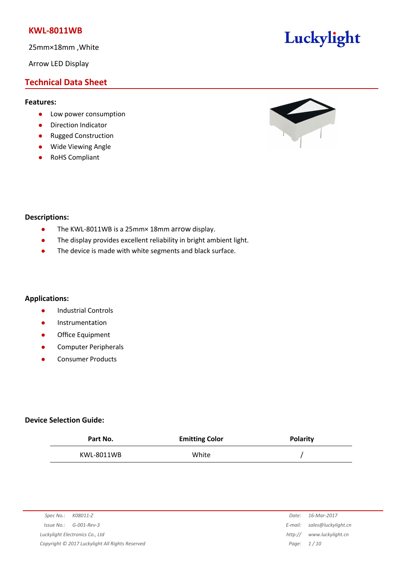25mm×18mm ,White

Arrow LED Display

## **Technical Data Sheet**

### **Features:**

- **•** Low power consumption
- **•** Direction Indicator
- Rugged Construction
- Wide Viewing Angle
- RoHS Compliant



Luckylight

### **Descriptions:**

- The KWL-8011WB is a 25mm× 18mm arrow display.
- The display provides excellent reliability in bright ambient light.
- The device is made with white segments and black surface.

### **Applications:**

- **•** Industrial Controls
- **•** Instrumentation
- **•** Office Equipment
- **•** Computer Peripherals
- Consumer Products

### **Device Selection Guide:**

| Part No.   | <b>Emitting Color</b> | <b>Polarity</b> |
|------------|-----------------------|-----------------|
| KWL-8011WB | White                 |                 |

| Spec No.: K08011-Z                              | Date:   | 16-Mar-2017         |
|-------------------------------------------------|---------|---------------------|
| $Issue No.: G-001-Rev-3$                        | E-mail: | sales@luckylight.cn |
| Luckylight Electronics Co., Ltd                 | http:// | www.luckylight.cn   |
| Copyright © 2017 Luckylight All Rights Reserved |         | Page: $1/10$        |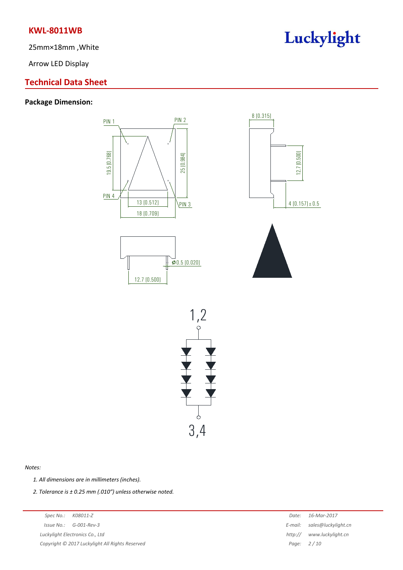25mm×18mm ,White

Arrow LED Display

## **Technical Data Sheet**

## **Package Dimension:**







#### *Notes:*

*1. All dimensions are in millimeters (inches).*

*2. Tolerance is ± 0.25 mm (.010″) unless otherwise noted.*

*Spec No.: K08011-Z Date: 16-Mar-2017 Issue No.: G-001-Rev-3 E-mail: sales@luckylight.cn Luckylight Electronics Co., Ltd http:// www.luckylight.cn Copyright © 2017 Luckylight All Rights Reserved Page: 2 / 10*

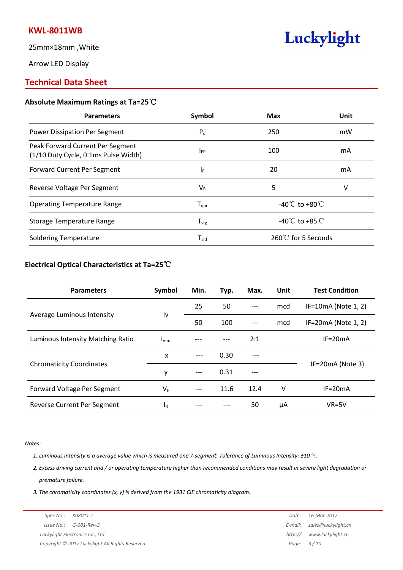25mm×18mm ,White

Arrow LED Display

## **Technical Data Sheet**

### **Absolute Maximum Ratings at Ta=25**℃

| Symbol                       | <b>Max</b>                         | Unit |
|------------------------------|------------------------------------|------|
| $P_d$                        | 250                                | mW   |
| <b>IFP</b>                   | 100                                | mA   |
| IF.                          | 20                                 | mA   |
| $V_{R}$                      | 5                                  | v    |
| ${\mathsf T}_{\textsf{opr}}$ | -40 $\degree$ C to +80 $\degree$ C |      |
| $T_{\text{stg}}$             | -40°C to +85°C                     |      |
| $T_{sld}$                    | 260℃ for 5 Seconds                 |      |
|                              |                                    |      |

Luckylight

### **Electrical Optical Characteristics at Ta=25**℃

| <b>Parameters</b>                 | Symbol                 | Min.  | Typ. | Max.  | Unit | <b>Test Condition</b>  |  |
|-----------------------------------|------------------------|-------|------|-------|------|------------------------|--|
| Average Luminous Intensity        |                        | 25    | 50   | $---$ | mcd  | $IF=10mA (Note 1, 2)$  |  |
|                                   | $\mathsf{I}\mathsf{v}$ | 50    | 100  | $---$ | mcd  | IF=20mA (Note $1, 2$ ) |  |
| Luminous Intensity Matching Ratio | $I_{v-m}$              | ---   |      | 2:1   |      | $IF=20mA$              |  |
| <b>Chromaticity Coordinates</b>   | X                      | $---$ | 0.30 | $---$ |      | IF=20mA (Note 3)       |  |
|                                   | ٧                      | $---$ | 0.31 | ---   |      |                        |  |
| Forward Voltage Per Segment       | $V_{F}$                | $---$ | 11.6 | 12.4  | v    | $IF=20mA$              |  |
| Reverse Current Per Segment       | lr                     |       |      | 50    | μA   | $VR=5V$                |  |

*Notes:*

1. Luminous Intensity is a average value which is measured one 7-segment. Tolerance of Luminous Intensity:  $\pm$ 10%.

2. Excess driving current and / or operating temperature higher than recommended conditions may result in severe light degradation or *premature failure.*

*3. The chromaticity coordinates (x, y) is derived from the 1931 CIE chromaticity diagram.*

| Spec No.: K08011-Z                              | Date: 16-Mar-2017           |
|-------------------------------------------------|-----------------------------|
| $Issue No.: G-001-Rev-3$                        | E-mail: sales@luckylight.cn |
| Luckylight Electronics Co., Ltd                 | http:// www.luckylight.cn   |
| Copyright © 2017 Luckylight All Rights Reserved | Page: $3/10$                |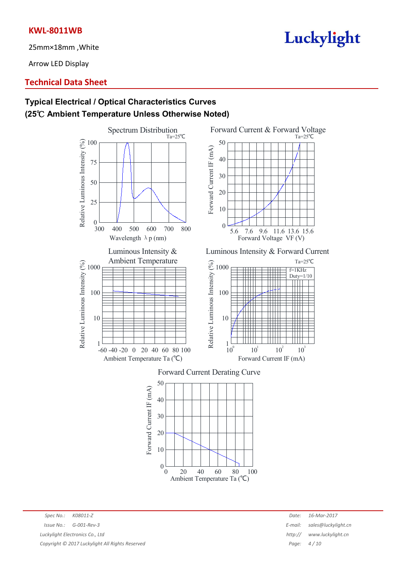25mm×18mm ,White

Arrow LED Display

## **Technical Data Sheet**

# **Typical Electrical / Optical Characteristics Curves (25**℃ **Ambient Temperature Unless Otherwise Noted)**

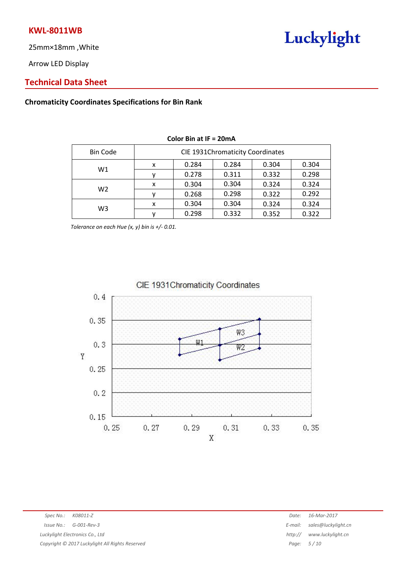25mm×18mm ,White

Arrow LED Display

# Luckylight

## **Technical Data Sheet**

## **Chromaticity Coordinates Specifications for Bin Rank**

| <b>Bin Code</b> | <b>CIE 1931Chromaticity Coordinates</b> |       |       |       |       |  |
|-----------------|-----------------------------------------|-------|-------|-------|-------|--|
| W1              | x                                       | 0.284 | 0.284 | 0.304 | 0.304 |  |
|                 |                                         | 0.278 | 0.311 | 0.332 | 0.298 |  |
| W <sub>2</sub>  | x                                       | 0.304 | 0.304 | 0.324 | 0.324 |  |
|                 |                                         | 0.268 | 0.298 | 0.322 | 0.292 |  |
| W3              | x                                       | 0.304 | 0.304 | 0.324 | 0.324 |  |
|                 |                                         | 0.298 | 0.332 | 0.352 | 0.322 |  |

#### **Color Bin at IF = 20mA**

*Tolerance on each Hue* (x, y) *bin is*  $+/- 0.01$ .

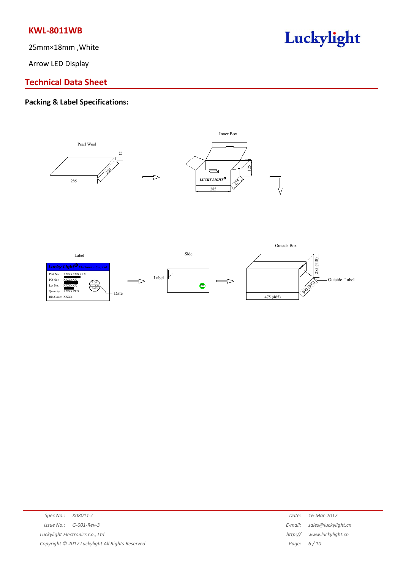25mm×18mm ,White

Arrow LED Display

# Luckylight

## **Technical Data Sheet**

# **Packing & Label Specifications:**





|                                                 |                                 | Date:   | 16-Mar-2017                 |
|-------------------------------------------------|---------------------------------|---------|-----------------------------|
|                                                 | $Is sue No.: G-001-Rev-3$       |         | E-mail: sales@luckylight.cn |
|                                                 | Luckylight Electronics Co., Ltd | http:// | www.luckylight.cn           |
| Copyright © 2017 Luckylight All Rights Reserved |                                 |         | Page: $6/10$                |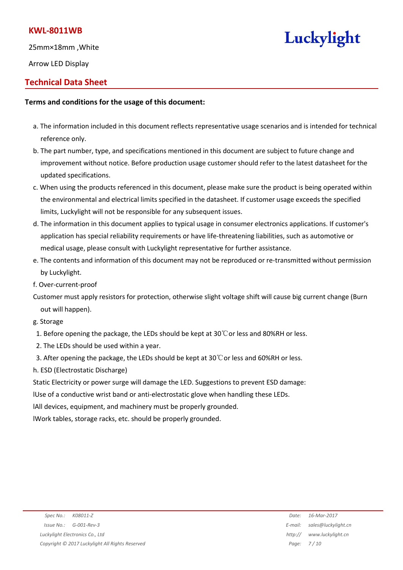25mm×18mm ,White

Arrow LED Display

# **Technical Data Sheet**

### **Terms and conditions for the usage of this document:**

- a. The information included in this document reflects representative usage scenarios and is intended for technical reference only.
- b. The part number, type, and specifications mentioned in this document are subject to future change and improvement without notice. Before production usage customer should refer to the latest datasheet for the updated specifications.
- c. When using the products referenced in this document, please make sure the product is being operated within the environmental and electrical limits specified in the datasheet. If customer usage exceeds the specified limits, Luckylight will not be responsible for any subsequent issues.
- d. The information in this document applies to typical usage in consumer electronics applications. If customer's application has special reliability requirements or have life-threatening liabilities, such as automotive or medical usage, please consult with Luckylight representative for further assistance.
- e. The contents and information of this document may not be reproduced or re-transmitted without permission by Luckylight.
- f. Over-current-proof

Customer must apply resistors for protection, otherwise slight voltage shift will cause big current change (Burn out will happen).

- g. Storage
- 1. Before opening the package, the LEDs should be kept at  $30^{\circ}$ Cor less and 80%RH or less.
- 2. The LEDs should be used within a year.
- 3. After opening the package, the LEDs should be kept at  $30^{\circ}$ Cor less and 60%RH or less.
- h. ESD (Electrostatic Discharge)

Static Electricity or power surge will damage the LED. Suggestions to prevent ESD damage:

- lUse of a conductive wrist band or anti-electrostatic glove when handling these LEDs.
- lAll devices, equipment, and machinery must be properly grounded.

lWork tables, storage racks, etc. should be properly grounded.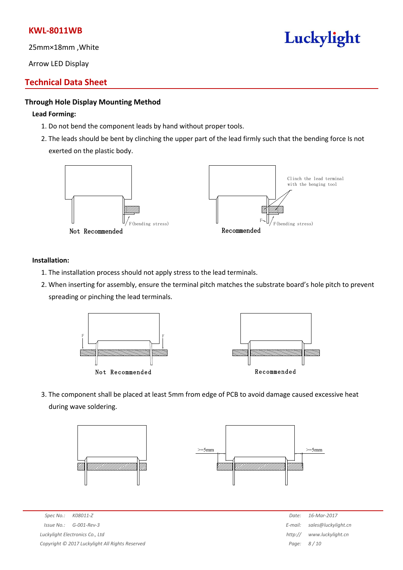25mm×18mm ,White

Arrow LED Display

## **Technical Data Sheet**

### **Through Hole Display Mounting Method**

### **Lead Forming:**

- 1. Do not bend the component leads by hand without proper tools.
- 2. The leads should be bent by clinching the upper part of the lead firmly such that the bending force Is not exerted on the plastic body.



### **Installation:**

- 1. The installation process should not apply stress to the lead terminals.
- 2. When inserting for assembly, ensure the terminal pitch matches the substrate board's hole pitch to prevent spreading or pinching the lead terminals.



3. The component shall be placed at least 5mm from edge of PCB to avoid damage caused excessive heat during wave soldering.





*Spec No.: K08011-Z Date: 16-Mar-2017 Issue No.: G-001-Rev-3 E-mail: sales@luckylight.cn Luckylight Electronics Co., Ltd http:// www.luckylight.cn Copyright © 2017 Luckylight All Rights Reserved Page: 8 / 10*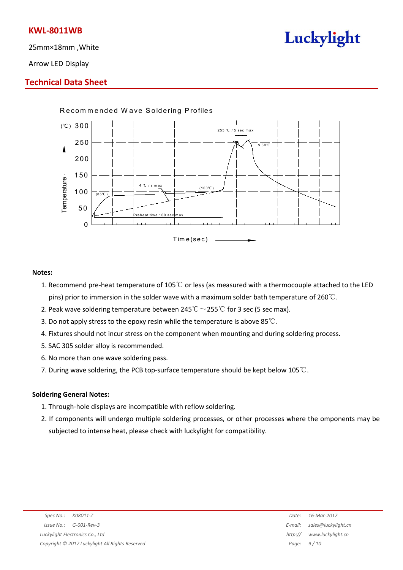25mm×18mm ,White

Luckylight

Arrow LED Display

## **Technical Data Sheet**



### **Notes:**

- 1. Recommend pre-heat temperature of 105℃ or less (as measured with a thermocouple attached to the LED pins) prior to immersion in the solder wave with a maximum solder bath temperature of 260℃.
- 2. Peak wave soldering temperature between 245° $\mathrm{C} \sim$ 255° $\mathrm{C}$  for 3 sec (5 sec max).
- 3. Do not apply stress to the epoxy resin while the temperature is above 85℃.
- 4. Fixtures should not incur stress on the component when mounting and during soldering process.
- 5. SAC 305 solder alloy is recommended.
- 6. No more than one wave soldering pass.
- 7. During wave soldering, the PCB top-surface temperature should be kept below 105℃.

### **Soldering General Notes:**

- 1. Through-hole displays are incompatible with reflow soldering.
- 2. If components will undergo multiple soldering processes, or other processes where the omponents may be subjected to intense heat, please check with luckylight for compatibility.